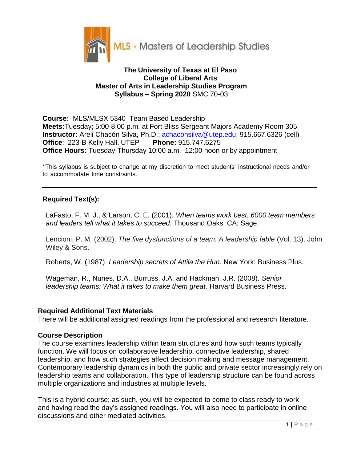

## **The University of Texas at El Paso College of Liberal Arts Master of Arts in Leadership Studies Program Syllabus – Spring 2020** SMC 70-03

**Course:** MLS/MLSX 5340 Team Based Leadership **Meets:**Tuesday; 5:00-8:00 p.m. at Fort Bliss Sergeant Majors Academy Room 305 **Instructor:** Areli Chacón Silva, Ph.D.; achaconsilva@utep.edu; 915.667.6326 (cell) **Office**: 223-B Kelly Hall, UTEP **Phone:** 915.747.6275 **Office Hours:** Tuesday-Thursday 10:00 a.m.–12:00 noon or by appointment

\*This syllabus is subject to change at my discretion to meet students' instructional needs and/or to accommodate time constraints.

## **Required Text(s):**

LaFasto, F. M. J., & Larson, C. E. (2001). *When teams work best: 6000 team members and leaders tell what it takes to succeed.* Thousand Oaks, CA: Sage.

Lencioni, P. M. (2002). *The five dysfunctions of a team: A leadership fable* (Vol. 13). John Wiley & Sons.

Roberts, W. (1987). *Leadership secrets of Attila the Hun.* New York: Business Plus.

Wageman, R., Nunes, D.A., Burruss, J.A. and Hackman, J.R. (2008). *Senior leadership teams: What it takes to make them great*. Harvard Business Press.

## **Required Additional Text Materials**

There will be additional assigned readings from the professional and research literature.

## **Course Description**

The course examines leadership within team structures and how such teams typically function. We will focus on collaborative leadership, connective leadership, shared leadership, and how such strategies affect decision making and message management. Contemporary leadership dynamics in both the public and private sector increasingly rely on leadership teams and collaboration. This type of leadership structure can be found across multiple organizations and industries at multiple levels.

This is a hybrid course; as such, you will be expected to come to class ready to work and having read the day's assigned readings. You will also need to participate in online discussions and other mediated activities.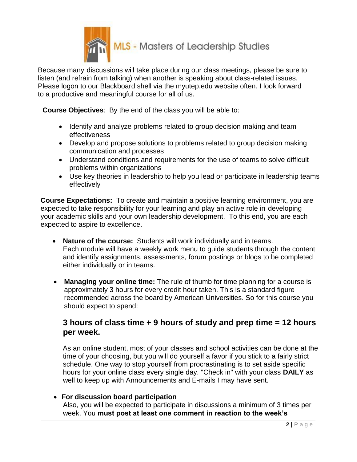

Because many discussions will take place during our class meetings, please be sure to listen (and refrain from talking) when another is speaking about class-related issues. Please logon to our Blackboard shell via the myutep.edu website often. I look forward to a productive and meaningful course for all of us.

**Course Objectives**: By the end of the class you will be able to:

- Identify and analyze problems related to group decision making and team effectiveness
- Develop and propose solutions to problems related to group decision making communication and processes
- Understand conditions and requirements for the use of teams to solve difficult problems within organizations
- Use key theories in leadership to help you lead or participate in leadership teams effectively

**Course Expectations:** To create and maintain a positive learning environment, you are expected to take responsibility for your learning and play an active role in developing your academic skills and your own leadership development. To this end, you are each expected to aspire to excellence.

- **Nature of the course:** Students will work individually and in teams. Each module will have a weekly work menu to guide students through the content and identify assignments, assessments, forum postings or blogs to be completed either individually or in teams.
- **Managing your online time:** The rule of thumb for time planning for a course is approximately 3 hours for every credit hour taken. This is a standard figure recommended across the board by American Universities. So for this course you should expect to spend:

# **3 hours of class time + 9 hours of study and prep time = 12 hours per week.**

 As an online student, most of your classes and school activities can be done at the time of your choosing, but you will do yourself a favor if you stick to a fairly strict schedule. One way to stop yourself from procrastinating is to set aside specific hours for your online class every single day. "Check in" with your class **DAILY** as well to keep up with Announcements and E-mails I may have sent.

## **For discussion board participation**

Also, you will be expected to participate in discussions a minimum of 3 times per week. You **must post at least one comment in reaction to the week's**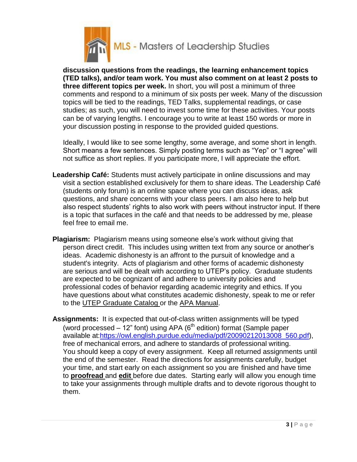

**discussion questions from the readings, the learning enhancement topics (TED talks), and/or team work. You must also comment on at least 2 posts to three different topics per week.** In short, you will post a minimum of three comments and respond to a minimum of six posts per week. Many of the discussion topics will be tied to the readings, TED Talks, supplemental readings, or case studies; as such, you will need to invest some time for these activities. Your posts can be of varying lengths. I encourage you to write at least 150 words or more in your discussion posting in response to the provided guided questions.

Ideally, I would like to see some lengthy, some average, and some short in length. Short means a few sentences. Simply posting terms such as "Yep" or "I agree" will not suffice as short replies. If you participate more, I will appreciate the effort.

- **Leadership Café:** Students must actively participate in online discussions and may visit a section established exclusively for them to share ideas. The Leadership Café (students only forum) is an online space where you can discuss ideas, ask questions, and share concerns with your class peers. I am also here to help but also respect students' rights to also work with peers without instructor input. If there is a topic that surfaces in the café and that needs to be addressed by me, please feel free to email me.
- **Plagiarism:** Plagiarism means using someone else's work without giving that person direct credit. This includes using written text from any source or another's ideas. Academic dishonesty is an affront to the pursuit of knowledge and a student's integrity. Acts of plagiarism and other forms of academic dishonesty are serious and will be dealt with according to UTEP's policy. Graduate students are expected to be cognizant of and adhere to university policies and professional codes of behavior regarding academic integrity and ethics. If you have questions about what constitutes academic dishonesty, speak to me or refer to the UTEP Graduate Catalog or the APA Manual.
- **Assignments:** It is expected that out-of-class written assignments will be typed (word processed  $-12$ " font) using APA ( $6<sup>th</sup>$  edition) format (Sample paper available at:https://owl.english.purdue.edu/media/pdf/20090212013008\_560.pdf), free of mechanical errors, and adhere to standards of professional writing. You should keep a copy of every assignment. Keep all returned assignments until the end of the semester. Read the directions for assignments carefully, budget your time, and start early on each assignment so you are finished and have time to **proofread** and **edit** before due dates. Starting early will allow you enough time to take your assignments through multiple drafts and to devote rigorous thought to them.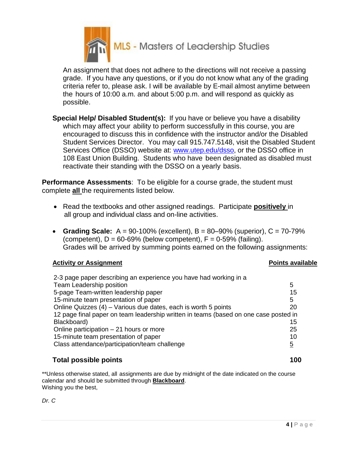

An assignment that does not adhere to the directions will not receive a passing grade. If you have any questions, or if you do not know what any of the grading criteria refer to, please ask. I will be available by E-mail almost anytime between the hours of 10:00 a.m. and about 5:00 p.m. and will respond as quickly as possible.

**Special Help/ Disabled Student(s):** If you have or believe you have a disability which may affect your ability to perform successfully in this course, you are encouraged to discuss this in confidence with the instructor and/or the Disabled Student Services Director. You may call 915.747.5148, visit the Disabled Student Services Office (DSSO) website at: [www.utep.edu/dsso,](http://www.utep.edu/dsso) or the DSSO office in 108 East Union Building. Students who have been designated as disabled must reactivate their standing with the DSSO on a yearly basis.

**Performance Assessments**: To be eligible for a course grade, the student must complete **all** the requirements listed below.

- Read the textbooks and other assigned readings. Participate **positively** in all group and individual class and on-line activities.
- **Grading Scale:**  $A = 90-100\%$  (excellent),  $B = 80-90\%$  (superior),  $C = 70-79\%$ (competent),  $D = 60-69\%$  (below competent),  $F = 0-59\%$  (failing). Grades will be arrived by summing points earned on the following assignments:

## **Activity or Assignment Points available**

| 2-3 page paper describing an experience you have had working in a                    |    |
|--------------------------------------------------------------------------------------|----|
| Team Leadership position                                                             | 5  |
| 5-page Team-written leadership paper                                                 | 15 |
| 15-minute team presentation of paper                                                 | 5  |
| Online Quizzes (4) – Various due dates, each is worth 5 points                       | 20 |
| 12 page final paper on team leadership written in teams (based on one case posted in |    |
| Blackboard)                                                                          | 15 |
| Online participation $-21$ hours or more                                             | 25 |
| 15-minute team presentation of paper                                                 | 10 |
| Class attendance/participation/team challenge                                        | 5  |

## **Total possible points 100**

\*\*Unless otherwise stated, all assignments are due by midnight of the date indicated on the course calendar and should be submitted through **Blackboard**. Wishing you the best,

*Dr. C*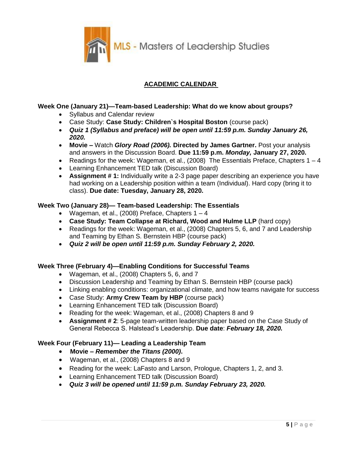MLS - Masters of Leadership Studies

## **ACADEMIC CALENDAR**

### **Week One (January 21)—Team-based Leadership: What do we know about groups?**

- Syllabus and Calendar review
- Case Study: **Case Study: Children`s Hospital Boston** (course pack)
- *Quiz 1 (Syllabus and preface) will be open until 11:59 p.m. Sunday January 26, 2020.*
- **Movie –** Watch *Glory Road (2006).* **Directed by James Gartner.** Post your analysis and answers in the Discussion Board. **Due 11:59 p.m.** *Monday,* **January 27, 2020.**
- Readings for the week: Wageman, et al., (2008) The Essentials Preface, Chapters  $1 4$
- Learning Enhancement TED talk (Discussion Board)
- **Assignment # 1:** Individually write a 2-3 page paper describing an experience you have had working on a Leadership position within a team (Individual). Hard copy (bring it to class). **Due date: Tuesday, January 28, 2020.**

#### **Week Two (January 28)— Team-based Leadership: The Essentials**

- Wageman, et al., (2008) Preface, Chapters  $1 4$
- **Case Study: Team Collapse at Richard, Wood and Hulme LLP** (hard copy)
- Readings for the week: Wageman, et al., (2008) Chapters 5, 6, and 7 and Leadership and Teaming by Ethan S. Bernstein HBP (course pack)
- *Quiz 2 will be open until 11:59 p.m. Sunday February 2, 2020.*

#### **Week Three (February 4)—Enabling Conditions for Successful Teams**

- Wageman, et al., (2008) Chapters 5, 6, and 7
- Discussion Leadership and Teaming by Ethan S. Bernstein HBP (course pack)
- Linking enabling conditions: organizational climate, and how teams navigate for success
- Case Study: **Army Crew Team by HBP** (course pack)
- Learning Enhancement TED talk (Discussion Board)
- Reading for the week: Wageman, et al., (2008) Chapters 8 and 9
- **Assignment # 2**: 5-page team-written leadership paper based on the Case Study of General Rebecca S. Halstead's Leadership. **Due date**: *February 18, 2020.*

#### **Week Four (February 11)— Leading a Leadership Team**

- **Movie –** *Remember the Titans (2000)***.**
- Wageman, et al., (2008) Chapters 8 and 9
- Reading for the week: LaFasto and Larson, Prologue, Chapters 1, 2, and 3.
- Learning Enhancement TED talk (Discussion Board)
- *Quiz 3 will be opened until 11:59 p.m. Sunday February 23, 2020.*